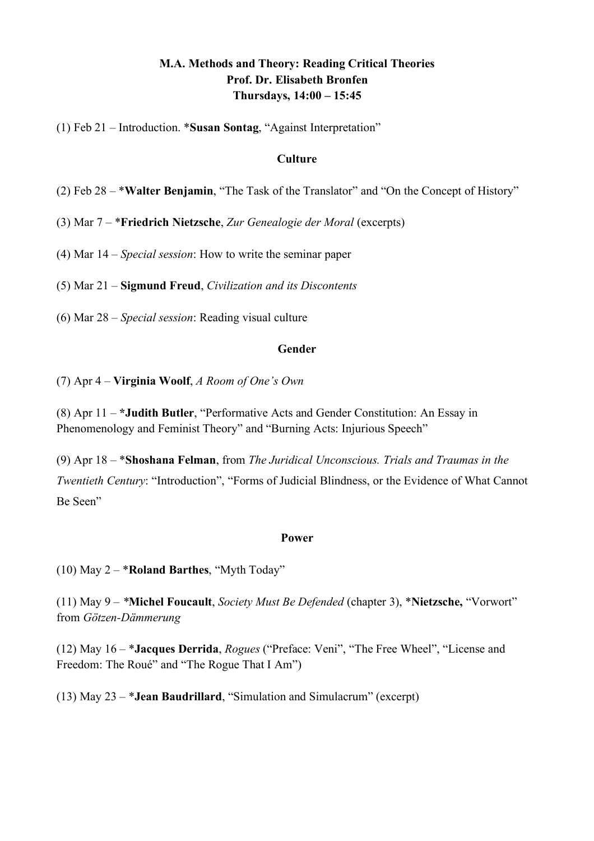# **M.A. Methods and Theory: Reading Critical Theories Prof. Dr. Elisabeth Bronfen Thursdays, 14:00 – 15:45**

(1) Feb 21 – Introduction. \***Susan Sontag**, "Against Interpretation"

#### **Culture**

- (2) Feb 28 \***Walter Benjamin**, "The Task of the Translator" and "On the Concept of History"
- (3) Mar 7 \***Friedrich Nietzsche**, *Zur Genealogie der Moral* (excerpts)
- (4) Mar 14 *Special session*: How to write the seminar paper

(5) Mar 21 – **Sigmund Freud**, *Civilization and its Discontents*

(6) Mar 28 – *Special session*: Reading visual culture

#### **Gender**

(7) Apr 4 – **Virginia Woolf**, *A Room of One's Own*

(8) Apr 11 – **\*Judith Butler**, "Performative Acts and Gender Constitution: An Essay in Phenomenology and Feminist Theory" and "Burning Acts: Injurious Speech"

(9) Apr 18 – \***Shoshana Felman**, from *The Juridical Unconscious. Trials and Traumas in the Twentieth Century*: "Introduction", "Forms of Judicial Blindness, or the Evidence of What Cannot Be Seen"

#### **Power**

(10) May 2 – \***Roland Barthes**, "Myth Today"

(11) May 9 – *\****Michel Foucault**, *Society Must Be Defended* (chapter 3), \***Nietzsche,** "Vorwort" from *Götzen-Dämmerung*

(12) May 16 – \***Jacques Derrida**, *Rogues* ("Preface: Veni", "The Free Wheel", "License and Freedom: The Roué" and "The Rogue That I Am")

(13) May 23 – \***Jean Baudrillard**, "Simulation and Simulacrum" (excerpt)